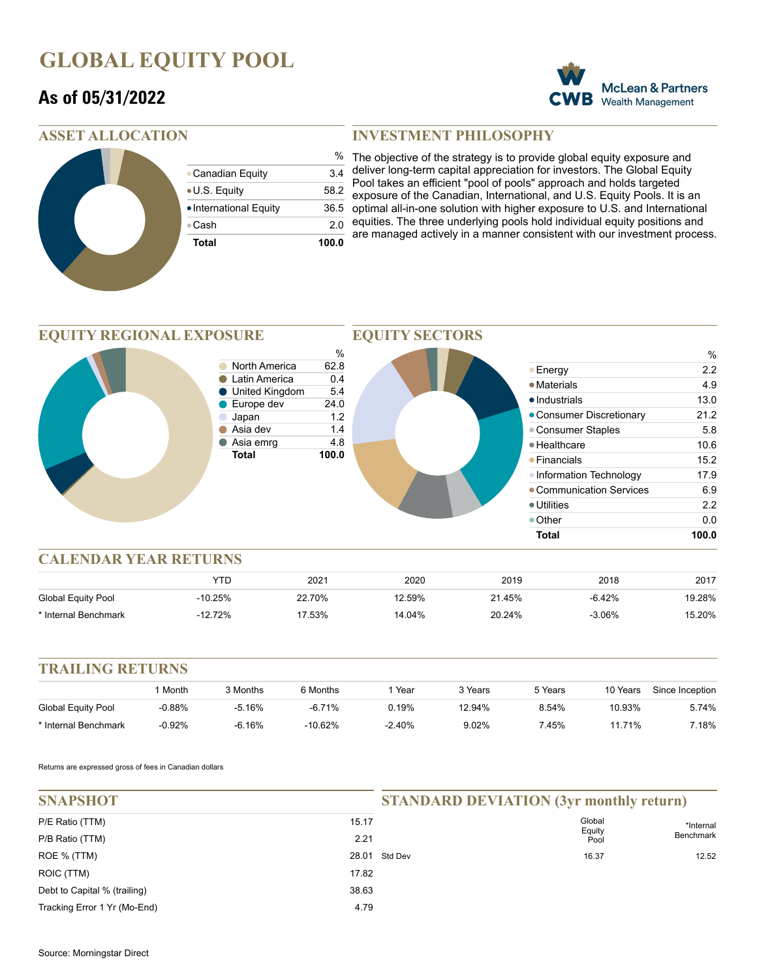## **GLOBAL EQUITY POOL**

### **As of 05/31/2022**



#### **ASSET ALLOCATION**

| <b>Total</b>           | 100.0         |
|------------------------|---------------|
| ⊕Cash                  | 2.0           |
| • International Equity | 36.5          |
| • U.S. Equity          | 58.2          |
| • Canadian Equity      | 3.4           |
|                        | $\frac{0}{0}$ |

#### **INVESTMENT PHILOSOPHY**

% The objective of the strategy is to provide global equity exposure and deliver long-term capital appreciation for investors. The Global Equity Pool takes an efficient "pool of pools" approach and holds targeted exposure of the Canadian, International, and U.S. Equity Pools. It is an optimal all-in-one solution with higher exposure to U.S. and International equities. The three underlying pools hold individual equity positions and are managed actively in a manner consistent with our investment process.

#### **EQUITY REGIONAL EXPOSURE**



**EQUITY SECTORS**

#### **CALENDAR YEAR RETURNS**

|                      | YTC       | 2021   | 2020   | 2019   | 2018     | 2017   |
|----------------------|-----------|--------|--------|--------|----------|--------|
| Global Equity Pool   | $-10.25%$ | 22.70% | 12.59% | 21.45% | $-6.42%$ | 19.28% |
| * Internal Benchmark | -12.72%   | '7.53% | 14.04% | 20.24% | $-3.06%$ | 15.20% |

#### **TRAILING RETURNS**

|                      | Month    | 3 Months | 6 Months   | Year     | 3 Years | 5 Years | 10 Years | Since Inception |
|----------------------|----------|----------|------------|----------|---------|---------|----------|-----------------|
| Global Equity Pool   | 0.88%    | -5.16%   | $-6.71%$   | 0.19%    | 12.94%  | 8.54%   | 10.93%   | 5.74%           |
| * Internal Benchmark | $-0.92%$ | -6.16%   | $-10.62\%$ | $-2.40%$ | 9.02%   | 7.45%   | 1.71%    | 7.18%           |

Returns are expressed gross of fees in Canadian dollars

| <b>SNAPSHOT</b>                    |               | <b>STANDARD DEVIATION (3yr monthly return)</b> |                          |                               |
|------------------------------------|---------------|------------------------------------------------|--------------------------|-------------------------------|
| P/E Ratio (TTM)<br>P/B Ratio (TTM) | 15.17<br>2.21 |                                                | Global<br>Equity<br>Pool | *Internal<br><b>Benchmark</b> |
| ROE % (TTM)                        |               | 28.01 Std Dev                                  | 16.37                    | 12.52                         |
| ROIC (TTM)                         | 17.82         |                                                |                          |                               |
| Debt to Capital % (trailing)       | 38.63         |                                                |                          |                               |
| Tracking Error 1 Yr (Mo-End)       | 4.79          |                                                |                          |                               |